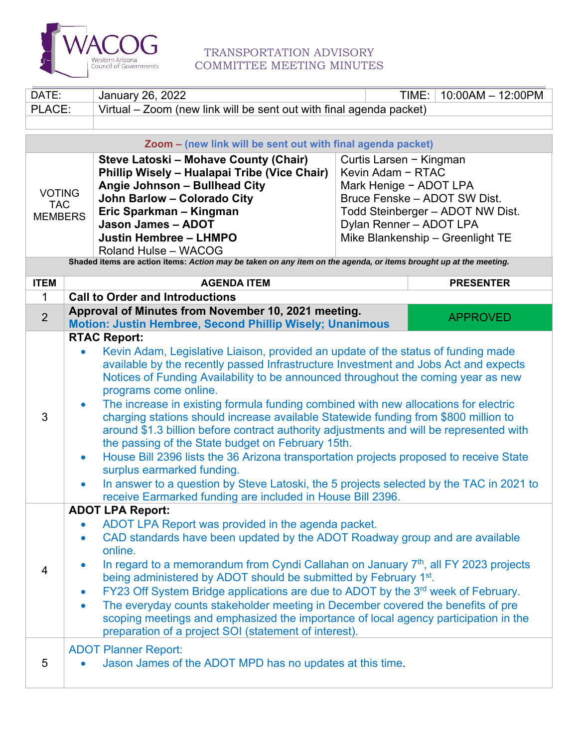

## TRANSPORTATION ADVISORY COMMITTEE MEETING MINUTES

| DATE:                                                                                                             | <b>January 26, 2022</b>                                                                                                                                                                                                                                                                                                                                                                                                                                                                                                                                                                                                                                 | TIME:<br>$10:00AM - 12:00PM$     |                  |  |
|-------------------------------------------------------------------------------------------------------------------|---------------------------------------------------------------------------------------------------------------------------------------------------------------------------------------------------------------------------------------------------------------------------------------------------------------------------------------------------------------------------------------------------------------------------------------------------------------------------------------------------------------------------------------------------------------------------------------------------------------------------------------------------------|----------------------------------|------------------|--|
|                                                                                                                   | Virtual – Zoom (new link will be sent out with final agenda packet)<br>PLACE:                                                                                                                                                                                                                                                                                                                                                                                                                                                                                                                                                                           |                                  |                  |  |
|                                                                                                                   |                                                                                                                                                                                                                                                                                                                                                                                                                                                                                                                                                                                                                                                         |                                  |                  |  |
| Zoom - (new link will be sent out with final agenda packet)                                                       |                                                                                                                                                                                                                                                                                                                                                                                                                                                                                                                                                                                                                                                         |                                  |                  |  |
| Steve Latoski – Mohave County (Chair)<br>Curtis Larsen - Kingman                                                  |                                                                                                                                                                                                                                                                                                                                                                                                                                                                                                                                                                                                                                                         |                                  |                  |  |
|                                                                                                                   | Phillip Wisely - Hualapai Tribe (Vice Chair)                                                                                                                                                                                                                                                                                                                                                                                                                                                                                                                                                                                                            | Kevin Adam - RTAC                |                  |  |
|                                                                                                                   | Angie Johnson - Bullhead City                                                                                                                                                                                                                                                                                                                                                                                                                                                                                                                                                                                                                           | Mark Henige - ADOT LPA           |                  |  |
| <b>VOTING</b><br><b>TAC</b>                                                                                       | <b>John Barlow - Colorado City</b>                                                                                                                                                                                                                                                                                                                                                                                                                                                                                                                                                                                                                      | Bruce Fenske - ADOT SW Dist.     |                  |  |
| <b>MEMBERS</b>                                                                                                    | Eric Sparkman - Kingman                                                                                                                                                                                                                                                                                                                                                                                                                                                                                                                                                                                                                                 | Todd Steinberger - ADOT NW Dist. |                  |  |
|                                                                                                                   | <b>Jason James - ADOT</b>                                                                                                                                                                                                                                                                                                                                                                                                                                                                                                                                                                                                                               | Dylan Renner - ADOT LPA          |                  |  |
|                                                                                                                   | <b>Justin Hembree - LHMPO</b>                                                                                                                                                                                                                                                                                                                                                                                                                                                                                                                                                                                                                           | Mike Blankenship - Greenlight TE |                  |  |
| Roland Hulse - WACOG                                                                                              |                                                                                                                                                                                                                                                                                                                                                                                                                                                                                                                                                                                                                                                         |                                  |                  |  |
| Shaded items are action items: Action may be taken on any item on the agenda, or items brought up at the meeting. |                                                                                                                                                                                                                                                                                                                                                                                                                                                                                                                                                                                                                                                         |                                  |                  |  |
| <b>ITEM</b>                                                                                                       | <b>AGENDA ITEM</b>                                                                                                                                                                                                                                                                                                                                                                                                                                                                                                                                                                                                                                      |                                  | <b>PRESENTER</b> |  |
| $\mathbf{1}$                                                                                                      | <b>Call to Order and Introductions</b>                                                                                                                                                                                                                                                                                                                                                                                                                                                                                                                                                                                                                  |                                  |                  |  |
| $\overline{2}$                                                                                                    | Approval of Minutes from November 10, 2021 meeting.                                                                                                                                                                                                                                                                                                                                                                                                                                                                                                                                                                                                     |                                  | <b>APPROVED</b>  |  |
|                                                                                                                   | Motion: Justin Hembree, Second Phillip Wisely; Unanimous                                                                                                                                                                                                                                                                                                                                                                                                                                                                                                                                                                                                |                                  |                  |  |
|                                                                                                                   | <b>RTAC Report:</b>                                                                                                                                                                                                                                                                                                                                                                                                                                                                                                                                                                                                                                     |                                  |                  |  |
|                                                                                                                   | Kevin Adam, Legislative Liaison, provided an update of the status of funding made                                                                                                                                                                                                                                                                                                                                                                                                                                                                                                                                                                       |                                  |                  |  |
|                                                                                                                   | available by the recently passed Infrastructure Investment and Jobs Act and expects                                                                                                                                                                                                                                                                                                                                                                                                                                                                                                                                                                     |                                  |                  |  |
| Notices of Funding Availability to be announced throughout the coming year as new                                 |                                                                                                                                                                                                                                                                                                                                                                                                                                                                                                                                                                                                                                                         |                                  |                  |  |
|                                                                                                                   | programs come online.                                                                                                                                                                                                                                                                                                                                                                                                                                                                                                                                                                                                                                   |                                  |                  |  |
|                                                                                                                   | The increase in existing formula funding combined with new allocations for electric<br>$\bullet$<br>3<br>charging stations should increase available Statewide funding from \$800 million to<br>around \$1.3 billion before contract authority adjustments and will be represented with<br>the passing of the State budget on February 15th.<br>House Bill 2396 lists the 36 Arizona transportation projects proposed to receive State<br>$\bullet$<br>surplus earmarked funding.<br>In answer to a question by Steve Latoski, the 5 projects selected by the TAC in 2021 to<br>$\bullet$<br>receive Earmarked funding are included in House Bill 2396. |                                  |                  |  |
|                                                                                                                   |                                                                                                                                                                                                                                                                                                                                                                                                                                                                                                                                                                                                                                                         |                                  |                  |  |
|                                                                                                                   |                                                                                                                                                                                                                                                                                                                                                                                                                                                                                                                                                                                                                                                         |                                  |                  |  |
|                                                                                                                   |                                                                                                                                                                                                                                                                                                                                                                                                                                                                                                                                                                                                                                                         |                                  |                  |  |
|                                                                                                                   |                                                                                                                                                                                                                                                                                                                                                                                                                                                                                                                                                                                                                                                         |                                  |                  |  |
|                                                                                                                   |                                                                                                                                                                                                                                                                                                                                                                                                                                                                                                                                                                                                                                                         |                                  |                  |  |
|                                                                                                                   |                                                                                                                                                                                                                                                                                                                                                                                                                                                                                                                                                                                                                                                         |                                  |                  |  |
| <b>ADOT LPA Report:</b>                                                                                           |                                                                                                                                                                                                                                                                                                                                                                                                                                                                                                                                                                                                                                                         |                                  |                  |  |
|                                                                                                                   | ADOT LPA Report was provided in the agenda packet.<br>$\bullet$                                                                                                                                                                                                                                                                                                                                                                                                                                                                                                                                                                                         |                                  |                  |  |
|                                                                                                                   | CAD standards have been updated by the ADOT Roadway group and are available<br>$\bullet$                                                                                                                                                                                                                                                                                                                                                                                                                                                                                                                                                                |                                  |                  |  |
|                                                                                                                   | online.                                                                                                                                                                                                                                                                                                                                                                                                                                                                                                                                                                                                                                                 |                                  |                  |  |
| $\overline{4}$                                                                                                    | In regard to a memorandum from Cyndi Callahan on January 7 <sup>th</sup> , all FY 2023 projects                                                                                                                                                                                                                                                                                                                                                                                                                                                                                                                                                         |                                  |                  |  |
|                                                                                                                   | being administered by ADOT should be submitted by February 1st.                                                                                                                                                                                                                                                                                                                                                                                                                                                                                                                                                                                         |                                  |                  |  |
|                                                                                                                   | FY23 Off System Bridge applications are due to ADOT by the 3rd week of February.<br>$\bullet$                                                                                                                                                                                                                                                                                                                                                                                                                                                                                                                                                           |                                  |                  |  |
|                                                                                                                   | The everyday counts stakeholder meeting in December covered the benefits of pre<br>$\bullet$                                                                                                                                                                                                                                                                                                                                                                                                                                                                                                                                                            |                                  |                  |  |
|                                                                                                                   | scoping meetings and emphasized the importance of local agency participation in the                                                                                                                                                                                                                                                                                                                                                                                                                                                                                                                                                                     |                                  |                  |  |
|                                                                                                                   | preparation of a project SOI (statement of interest).                                                                                                                                                                                                                                                                                                                                                                                                                                                                                                                                                                                                   |                                  |                  |  |
|                                                                                                                   | <b>ADOT Planner Report:</b>                                                                                                                                                                                                                                                                                                                                                                                                                                                                                                                                                                                                                             |                                  |                  |  |
| 5                                                                                                                 | Jason James of the ADOT MPD has no updates at this time.                                                                                                                                                                                                                                                                                                                                                                                                                                                                                                                                                                                                |                                  |                  |  |
|                                                                                                                   |                                                                                                                                                                                                                                                                                                                                                                                                                                                                                                                                                                                                                                                         |                                  |                  |  |